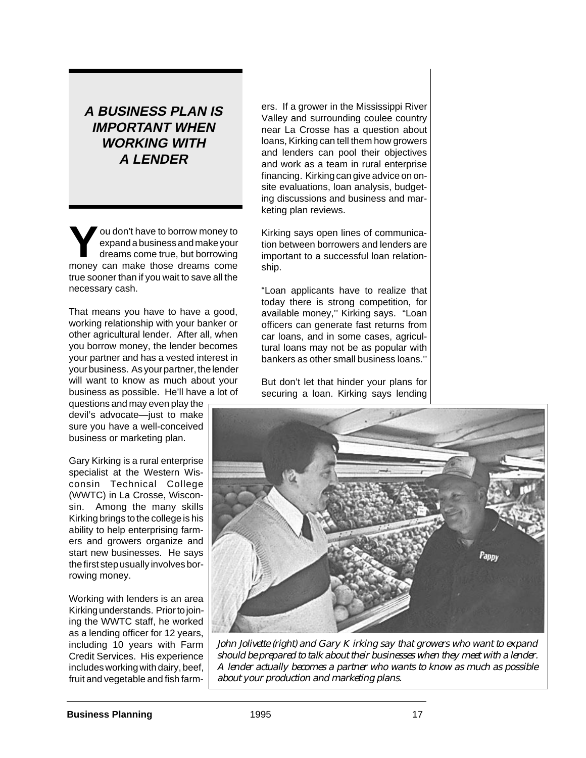# **A BUSINESS PLAN IS IMPORTANT WHEN WORKING WITH A LENDER**

**Y**ou don't have to borrow money to expand a business and make your dreams come true, but borrowing money can make those dreams come true sooner than if you wait to save all the necessary cash.

That means you have to have a good, working relationship with your banker or other agricultural lender. After all, when you borrow money, the lender becomes your partner and has a vested interest in your business. As your partner, the lender will want to know as much about your business as possible. He'll have a lot of

questions and may even play the devil's advocate—just to make sure you have a well-conceived business or marketing plan.

Gary Kirking is a rural enterprise specialist at the Western Wisconsin Technical College (WWTC) in La Crosse, Wisconsin. Among the many skills Kirking brings to the college is his ability to help enterprising farmers and growers organize and start new businesses. He says the first step usually involves borrowing money.

Working with lenders is an area Kirking understands. Prior to joining the WWTC staff, he worked as a lending officer for 12 years, including 10 years with Farm Credit Services. His experience includes working with dairy, beef, fruit and vegetable and fish farmers. If a grower in the Mississippi River Valley and surrounding coulee country near La Crosse has a question about loans, Kirking can tell them how growers and lenders can pool their objectives and work as a team in rural enterprise financing. Kirking can give advice on onsite evaluations, loan analysis, budgeting discussions and business and marketing plan reviews.

Kirking says open lines of communication between borrowers and lenders are important to a successful loan relationship.

"Loan applicants have to realize that today there is strong competition, for available money,'' Kirking says. "Loan officers can generate fast returns from car loans, and in some cases, agricultural loans may not be as popular with bankers as other small business loans.''

But don't let that hinder your plans for securing a loan. Kirking says lending



*John Jolivette (right) and Gary Kirking say that growers who want to expand should be prepared to talk about their businesses when they meet with a lender. A lender actually becomes a partner who wants to know as much as possible about your production and marketing plans.*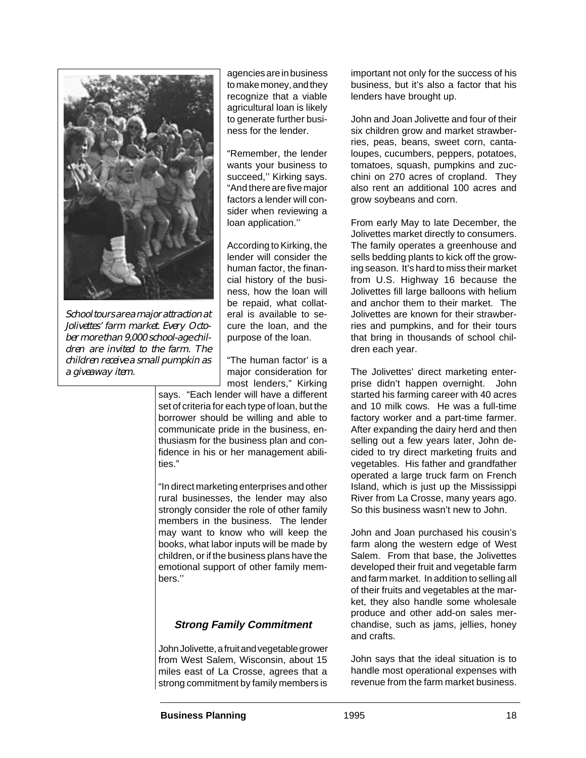

*School tours are a major attraction at Jolivettes' farm market. Every October more than 9,000 school-age children are invited to the farm. The children receive a small pumpkin as a giveaway item.*

agencies are in business to make money, and they recognize that a viable agricultural loan is likely to generate further business for the lender.

"Remember, the lender wants your business to succeed," Kirking says. "And there are five major factors a lender will consider when reviewing a loan application.''

According to Kirking, the lender will consider the human factor, the financial history of the business, how the loan will be repaid, what collateral is available to secure the loan, and the purpose of the loan.

"The human factor' is a major consideration for most lenders," Kirking

says. "Each lender will have a different set of criteria for each type of loan, but the borrower should be willing and able to communicate pride in the business, enthusiasm for the business plan and confidence in his or her management abilities."

"In direct marketing enterprises and other rural businesses, the lender may also strongly consider the role of other family members in the business. The lender may want to know who will keep the books, what labor inputs will be made by children, or if the business plans have the emotional support of other family members.''

#### **Strong Family Commitment**

John Jolivette, a fruit and vegetable grower from West Salem, Wisconsin, about 15 miles east of La Crosse, agrees that a strong commitment by family members is

important not only for the success of his business, but it's also a factor that his lenders have brought up.

John and Joan Jolivette and four of their six children grow and market strawberries, peas, beans, sweet corn, cantaloupes, cucumbers, peppers, potatoes, tomatoes, squash, pumpkins and zucchini on 270 acres of cropland. They also rent an additional 100 acres and grow soybeans and corn.

From early May to late December, the Jolivettes market directly to consumers. The family operates a greenhouse and sells bedding plants to kick off the growing season. It's hard to miss their market from U.S. Highway 16 because the Jolivettes fill large balloons with helium and anchor them to their market. The Jolivettes are known for their strawberries and pumpkins, and for their tours that bring in thousands of school children each year.

The Jolivettes' direct marketing enterprise didn't happen overnight. John started his farming career with 40 acres and 10 milk cows. He was a full-time factory worker and a part-time farmer. After expanding the dairy herd and then selling out a few years later, John decided to try direct marketing fruits and vegetables. His father and grandfather operated a large truck farm on French Island, which is just up the Mississippi River from La Crosse, many years ago. So this business wasn't new to John.

John and Joan purchased his cousin's farm along the western edge of West Salem. From that base, the Jolivettes developed their fruit and vegetable farm and farm market. In addition to selling all of their fruits and vegetables at the market, they also handle some wholesale produce and other add-on sales merchandise, such as jams, jellies, honey and crafts.

John says that the ideal situation is to handle most operational expenses with revenue from the farm market business.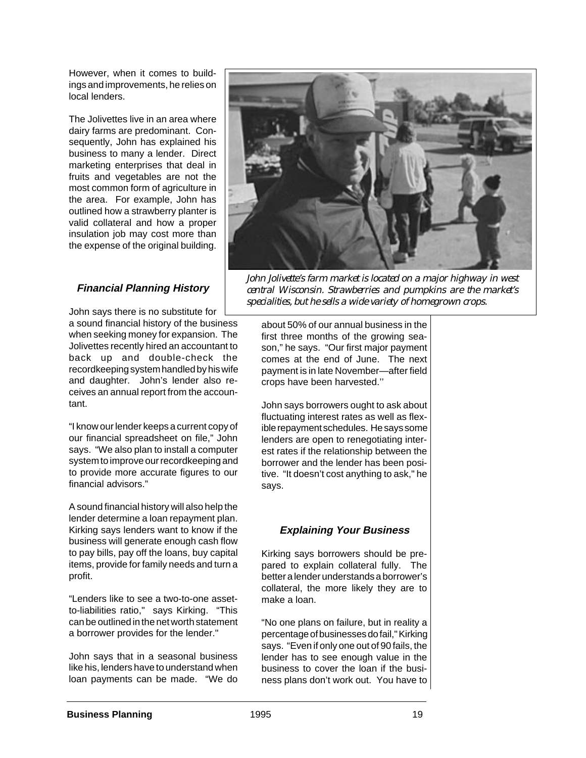However, when it comes to buildings and improvements, he relies on local lenders.

The Jolivettes live in an area where dairy farms are predominant. Consequently, John has explained his business to many a lender. Direct marketing enterprises that deal in fruits and vegetables are not the most common form of agriculture in the area. For example, John has outlined how a strawberry planter is valid collateral and how a proper insulation job may cost more than the expense of the original building.

### **Financial Planning History**

John says there is no substitute for a sound financial history of the business when seeking money for expansion. The Jolivettes recently hired an accountant to back up and double-check the recordkeeping system handled by his wife and daughter. John's lender also receives an annual report from the accountant.

"I know our lender keeps a current copy of our financial spreadsheet on file," John says. "We also plan to install a computer system to improve our recordkeeping and to provide more accurate figures to our financial advisors."

A sound financial history will also help the lender determine a loan repayment plan. Kirking says lenders want to know if the business will generate enough cash flow to pay bills, pay off the loans, buy capital items, provide for family needs and turn a profit.

"Lenders like to see a two-to-one assetto-liabilities ratio," says Kirking. "This can be outlined in the net worth statement a borrower provides for the lender."

John says that in a seasonal business like his, lenders have to understand when loan payments can be made. "We do



*John Jolivette's farm market is located on a major highway in west central Wisconsin. Strawberries and pumpkins are the market's specialities, but he sells a wide variety of homegrown crops.*

about 50% of our annual business in the first three months of the growing season," he says. "Our first major payment comes at the end of June. The next payment is in late November—after field crops have been harvested.''

John says borrowers ought to ask about fluctuating interest rates as well as flexible repayment schedules. He says some lenders are open to renegotiating interest rates if the relationship between the borrower and the lender has been positive. "It doesn't cost anything to ask," he says.

### **Explaining Your Business**

Kirking says borrowers should be prepared to explain collateral fully. The better a lender understands a borrower's collateral, the more likely they are to make a loan.

"No one plans on failure, but in reality a percentage of businesses do fail," Kirking says. "Even if only one out of 90 fails, the lender has to see enough value in the business to cover the loan if the business plans don't work out. You have to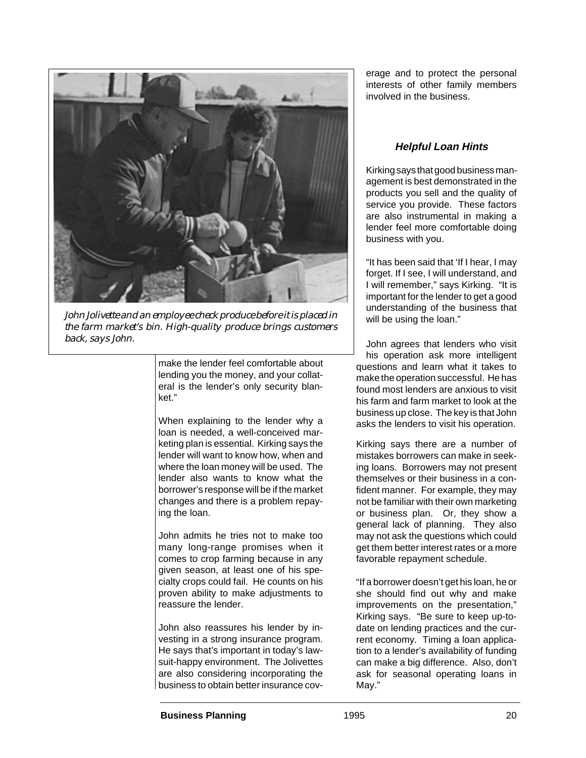

*John Jolivette and an employee check produce before it is placed in the farm market's bin. High-quality produce brings customers back, says John.*

make the lender feel comfortable about lending you the money, and your collateral is the lender's only security blanket."

When explaining to the lender why a loan is needed, a well-conceived marketing plan is essential. Kirking says the lender will want to know how, when and where the loan money will be used. The lender also wants to know what the borrower's response will be if the market changes and there is a problem repaying the loan.

John admits he tries not to make too many long-range promises when it comes to crop farming because in any given season, at least one of his specialty crops could fail. He counts on his proven ability to make adjustments to reassure the lender.

John also reassures his lender by investing in a strong insurance program. He says that's important in today's lawsuit-happy environment. The Jolivettes are also considering incorporating the business to obtain better insurance coverage and to protect the personal interests of other family members involved in the business.

## **Helpful Loan Hints**

Kirking says that good business management is best demonstrated in the products you sell and the quality of service you provide. These factors are also instrumental in making a lender feel more comfortable doing business with you.

"It has been said that 'If I hear, I may forget. If I see, I will understand, and I will remember," says Kirking. "It is important for the lender to get a good understanding of the business that will be using the loan."

John agrees that lenders who visit his operation ask more intelligent questions and learn what it takes to make the operation successful. He has found most lenders are anxious to visit his farm and farm market to look at the business up close. The key is that John asks the lenders to visit his operation.

Kirking says there are a number of mistakes borrowers can make in seeking loans. Borrowers may not present themselves or their business in a confident manner. For example, they may not be familiar with their own marketing or business plan. Or, they show a general lack of planning. They also may not ask the questions which could get them better interest rates or a more favorable repayment schedule.

"If a borrower doesn't get his loan, he or she should find out why and make improvements on the presentation," Kirking says. "Be sure to keep up-todate on lending practices and the current economy. Timing a loan application to a lender's availability of funding can make a big difference. Also, don't ask for seasonal operating loans in May."